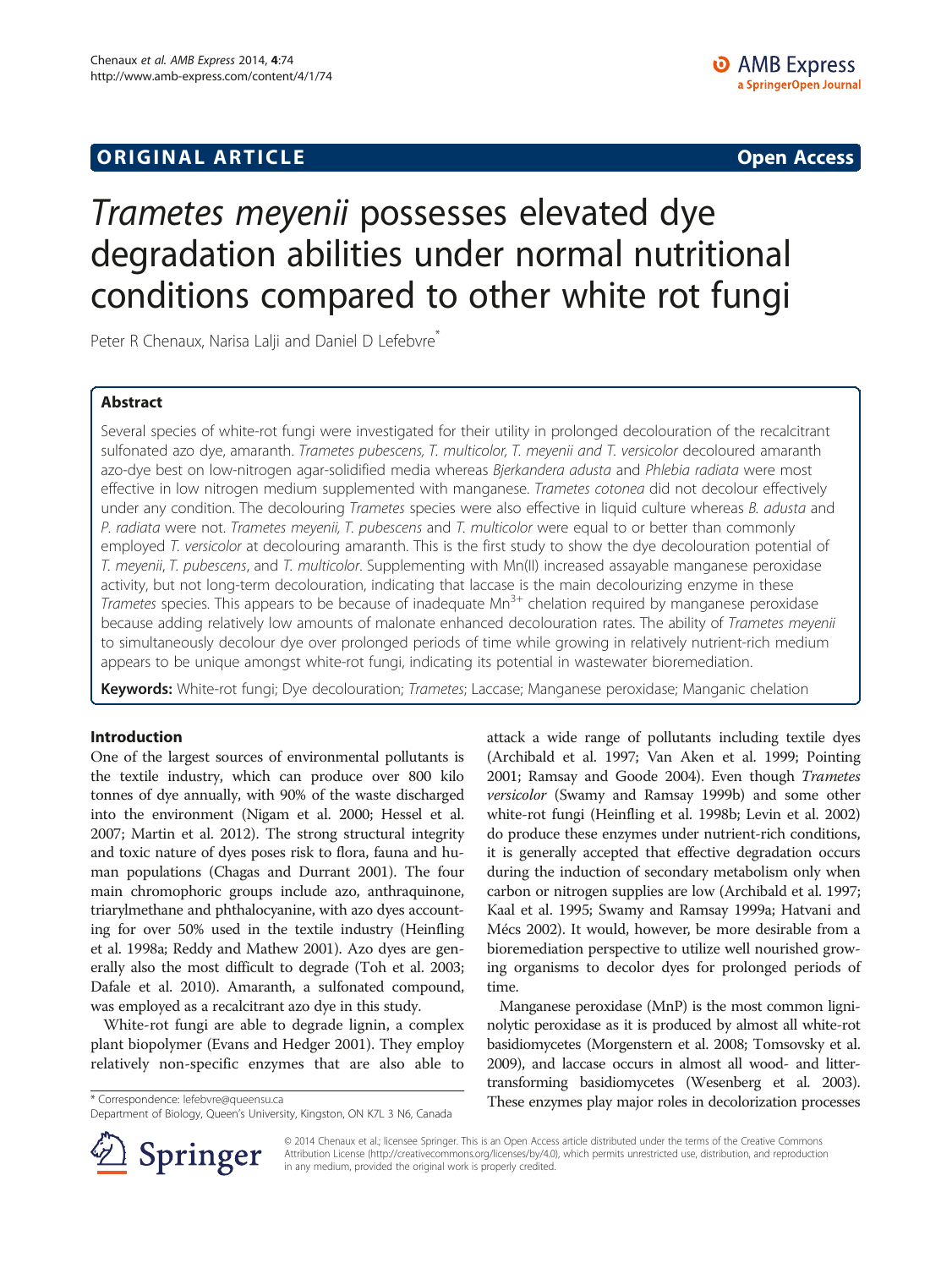# **ORIGINAL ARTICLE CONSERVANCE IN A LOCAL CONSERVANCE IN A LOCAL CONSERVANCE IN A LOCAL CONSERVANCE IN A LOCAL CONSERVANCE IN A LOCAL CONSERVANCE IN A LOCAL CONSERVANCE IN A LOCAL CONSERVANCE IN A LOCAL CONSERVANCE IN A L**

# Trametes meyenii possesses elevated dye degradation abilities under normal nutritional conditions compared to other white rot fungi

Peter R Chenaux, Narisa Lalji and Daniel D Lefebvre<sup>\*</sup>

# Abstract

Several species of white-rot fungi were investigated for their utility in prolonged decolouration of the recalcitrant sulfonated azo dye, amaranth. Trametes pubescens, T. multicolor, T. meyenii and T. versicolor decoloured amaranth azo-dye best on low-nitrogen agar-solidified media whereas Bjerkandera adusta and Phlebia radiata were most effective in low nitrogen medium supplemented with manganese. Trametes cotonea did not decolour effectively under any condition. The decolouring Trametes species were also effective in liquid culture whereas B. adusta and P. radiata were not. Trametes meyenii, T. pubescens and T. multicolor were equal to or better than commonly employed T. versicolor at decolouring amaranth. This is the first study to show the dye decolouration potential of T. meyenii, T. pubescens, and T. multicolor. Supplementing with Mn(II) increased assayable manganese peroxidase activity, but not long-term decolouration, indicating that laccase is the main decolourizing enzyme in these Trametes species. This appears to be because of inadequate Mn<sup>3+</sup> chelation required by manganese peroxidase because adding relatively low amounts of malonate enhanced decolouration rates. The ability of Trametes meyenii to simultaneously decolour dye over prolonged periods of time while growing in relatively nutrient-rich medium appears to be unique amongst white-rot fungi, indicating its potential in wastewater bioremediation.

Keywords: White-rot fungi; Dye decolouration; Trametes; Laccase; Manganese peroxidase; Manganic chelation

# Introduction

One of the largest sources of environmental pollutants is the textile industry, which can produce over 800 kilo tonnes of dye annually, with 90% of the waste discharged into the environment (Nigam et al. [2000](#page-7-0); Hessel et al. [2007;](#page-7-0) Martin et al. [2012\)](#page-7-0). The strong structural integrity and toxic nature of dyes poses risk to flora, fauna and human populations (Chagas and Durrant [2001](#page-7-0)). The four main chromophoric groups include azo, anthraquinone, triarylmethane and phthalocyanine, with azo dyes accounting for over 50% used in the textile industry (Heinfling et al. [1998a;](#page-7-0) Reddy and Mathew [2001](#page-7-0)). Azo dyes are generally also the most difficult to degrade (Toh et al. [2003](#page-8-0); Dafale et al. [2010](#page-7-0)). Amaranth, a sulfonated compound, was employed as a recalcitrant azo dye in this study.

White-rot fungi are able to degrade lignin, a complex plant biopolymer (Evans and Hedger [2001](#page-7-0)). They employ relatively non-specific enzymes that are also able to



Manganese peroxidase (MnP) is the most common ligninolytic peroxidase as it is produced by almost all white-rot basidiomycetes (Morgenstern et al. [2008;](#page-7-0) Tomsovsky et al. [2009\)](#page-8-0), and laccase occurs in almost all wood- and littertransforming basidiomycetes (Wesenberg et al. [2003](#page-8-0)). \* Correspondence: [lefebvre@queensu.ca](mailto:lefebvre@queensu.ca) These enzymes play major roles in decolorization processes



© 2014 Chenaux et al.; licensee Springer. This is an Open Access article distributed under the terms of the Creative Commons Attribution License [\(http://creativecommons.org/licenses/by/4.0\)](http://creativecommons.org/licenses/by/4.0), which permits unrestricted use, distribution, and reproduction in any medium, provided the original work is properly credited.

Department of Biology, Queen's University, Kingston, ON K7L 3 N6, Canada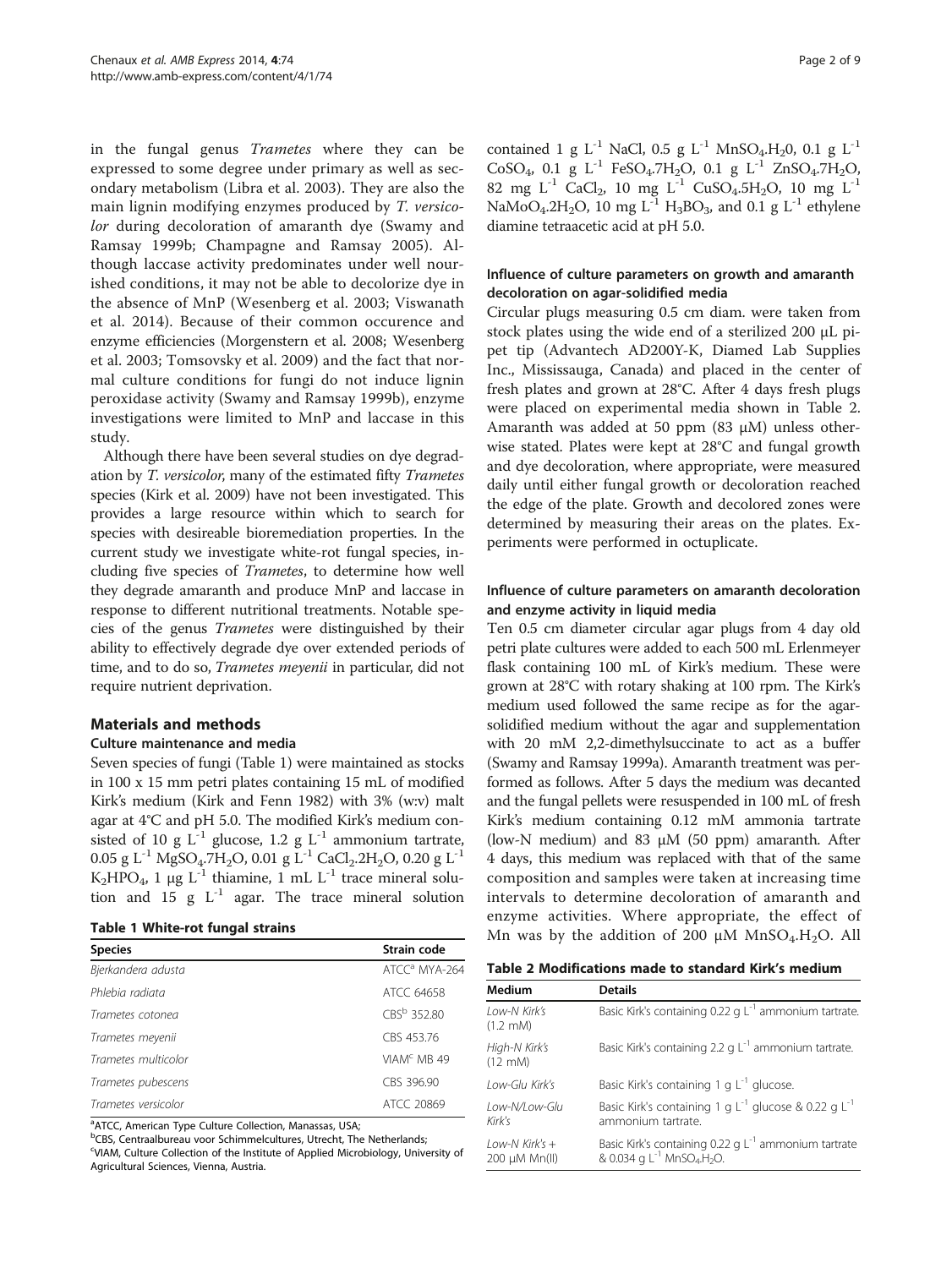<span id="page-1-0"></span>in the fungal genus Trametes where they can be expressed to some degree under primary as well as secondary metabolism (Libra et al. [2003\)](#page-7-0). They are also the main lignin modifying enzymes produced by T. versicolor during decoloration of amaranth dye (Swamy and Ramsay [1999b](#page-8-0); Champagne and Ramsay [2005](#page-7-0)). Although laccase activity predominates under well nourished conditions, it may not be able to decolorize dye in the absence of MnP (Wesenberg et al. [2003;](#page-8-0) Viswanath et al. [2014\)](#page-8-0). Because of their common occurence and enzyme efficiencies (Morgenstern et al. [2008;](#page-7-0) Wesenberg et al. [2003](#page-8-0); Tomsovsky et al. [2009](#page-8-0)) and the fact that normal culture conditions for fungi do not induce lignin peroxidase activity (Swamy and Ramsay [1999b\)](#page-8-0), enzyme investigations were limited to MnP and laccase in this study.

Although there have been several studies on dye degradation by T. versicolor, many of the estimated fifty Trametes species (Kirk et al. [2009\)](#page-7-0) have not been investigated. This provides a large resource within which to search for species with desireable bioremediation properties. In the current study we investigate white-rot fungal species, including five species of Trametes, to determine how well they degrade amaranth and produce MnP and laccase in response to different nutritional treatments. Notable species of the genus Trametes were distinguished by their ability to effectively degrade dye over extended periods of time, and to do so, Trametes meyenii in particular, did not require nutrient deprivation.

# Materials and methods

#### Culture maintenance and media

Seven species of fungi (Table 1) were maintained as stocks in 100 x 15 mm petri plates containing 15 mL of modified Kirk's medium (Kirk and Fenn [1982\)](#page-7-0) with 3% (w:v) malt agar at 4°C and pH 5.0. The modified Kirk's medium consisted of 10 g  $L^{-1}$  glucose, 1.2 g  $L^{-1}$  ammonium tartrate, 0.05 g L<sup>-1</sup> MgSO<sub>4</sub>.7H<sub>2</sub>O, 0.01 g L<sup>-1</sup> CaCl<sub>2</sub>.2H<sub>2</sub>O, 0.20 g L<sup>-1</sup> K<sub>2</sub>HPO<sub>4</sub>, 1 μg L<sup>-1</sup> thiamine, 1 mL L<sup>-1</sup> trace mineral solution and 15 g  $L^{-1}$  agar. The trace mineral solution

|  |  | Table 1 White-rot fungal strain: |  |  |
|--|--|----------------------------------|--|--|
|--|--|----------------------------------|--|--|

| <b>Table 1 White-rot fungal strains</b> |                           | enzyme activities. Where appropriate, the effect of<br>Mn was by the addition of 200 $\mu$ M MnSO <sub>4</sub> .H <sub>2</sub> O. All |                                                            |  |  |  |
|-----------------------------------------|---------------------------|---------------------------------------------------------------------------------------------------------------------------------------|------------------------------------------------------------|--|--|--|
| <b>Species</b>                          | Strain code               |                                                                                                                                       |                                                            |  |  |  |
| Bjerkandera adusta                      | ATCC <sup>a</sup> MYA-264 |                                                                                                                                       | Table 2 Modifications made to standard Kirk's medium       |  |  |  |
| Phlebia radiata                         | ATCC 64658                | <b>Medium</b>                                                                                                                         | <b>Details</b>                                             |  |  |  |
| Trametes cotonea                        | CBS <sup>b</sup> 352.80   | Low-N Kirk's<br>$(1.2 \text{ mM})$                                                                                                    | Basic Kirk's containing 0.22 g $L^{-1}$ ammonium tartrate. |  |  |  |
| Trametes meyenii                        | CBS 453.76                |                                                                                                                                       |                                                            |  |  |  |
| Trametes multicolor                     | VIAM <sup>c</sup> MB 49   | High-N Kirk's<br>$(12 \text{ mM})$                                                                                                    | Basic Kirk's containing 2.2 g $L^{-1}$ ammonium tartrate.  |  |  |  |

Trametes versicolor and a series of the ATCC 20869

<sup>a</sup>ATCC, American Type Culture Collection, Manassas, USA;

<sup>b</sup>CBS, Centraalbureau voor Schimmelcultures, Utrecht, The Netherlands; <sup>c</sup>VIAM, Culture Collection of the Institute of Applied Microbiology, University of Agricultural Sciences, Vienna, Austria.

Trametes pubescens CBS 396.90

contained 1 g L<sup>-1</sup> NaCl, 0.5 g L<sup>-1</sup> MnSO<sub>4</sub>.H<sub>2</sub>0, 0.1 g L<sup>-1</sup>  $CoSO_4$ , 0.1 g  $L^{-1}$  FeSO<sub>4</sub>.7H<sub>2</sub>O, 0.1 g  $L^{-1}$  ZnSO<sub>4</sub>.7H<sub>2</sub>O, 82 mg  $L^{-1}$  CaCl<sub>2</sub>, 10 mg  $L^{-1}$  CuSO<sub>4</sub>.5H<sub>2</sub>O, 10 mg  $L^{-1}$ NaMoO<sub>4</sub>.2H<sub>2</sub>O, 10 mg L<sup>-1</sup> H<sub>3</sub>BO<sub>3</sub>, and 0.1 g L<sup>-1</sup> ethylene diamine tetraacetic acid at pH 5.0.

# Influence of culture parameters on growth and amaranth decoloration on agar-solidified media

Circular plugs measuring 0.5 cm diam. were taken from stock plates using the wide end of a sterilized 200 μL pipet tip (Advantech AD200Y-K, Diamed Lab Supplies Inc., Mississauga, Canada) and placed in the center of fresh plates and grown at 28°C. After 4 days fresh plugs were placed on experimental media shown in Table 2. Amaranth was added at 50 ppm (83  $\mu$ M) unless otherwise stated. Plates were kept at 28°C and fungal growth and dye decoloration, where appropriate, were measured daily until either fungal growth or decoloration reached the edge of the plate. Growth and decolored zones were determined by measuring their areas on the plates. Experiments were performed in octuplicate.

# Influence of culture parameters on amaranth decoloration and enzyme activity in liquid media

Ten 0.5 cm diameter circular agar plugs from 4 day old petri plate cultures were added to each 500 mL Erlenmeyer flask containing 100 mL of Kirk's medium. These were grown at 28°C with rotary shaking at 100 rpm. The Kirk's medium used followed the same recipe as for the agarsolidified medium without the agar and supplementation with 20 mM 2,2-dimethylsuccinate to act as a buffer (Swamy and Ramsay [1999a](#page-8-0)). Amaranth treatment was performed as follows. After 5 days the medium was decanted and the fungal pellets were resuspended in 100 mL of fresh Kirk's medium containing 0.12 mM ammonia tartrate (low-N medium) and 83  $\mu$ M (50 ppm) amaranth. After 4 days, this medium was replaced with that of the same composition and samples were taken at increasing time intervals to determine decoloration of amaranth and enzyme activities. Where appropriate, the effect of

| Table 2 Modifications made to standard Kirk's medium |  |  |
|------------------------------------------------------|--|--|
|------------------------------------------------------|--|--|

| <b>Medium</b>                             | <b>Details</b>                                                                                                              |
|-------------------------------------------|-----------------------------------------------------------------------------------------------------------------------------|
| Low-N Kirk's<br>$(1.2 \text{ mM})$        | Basic Kirk's containing 0.22 g L <sup>-1</sup> ammonium tartrate.                                                           |
| High-N Kirk's<br>$(12 \text{ mM})$        | Basic Kirk's containing 2.2 g L <sup>-1</sup> ammonium tartrate.                                                            |
| Low-Glu Kirk's                            | Basic Kirk's containing 1 g L <sup>-1</sup> glucose.                                                                        |
| Low-N/Low-Glu<br>Kirk's                   | Basic Kirk's containing 1 g L <sup>-1</sup> glucose & 0.22 g L <sup>-1</sup><br>ammonium tartrate.                          |
| $1$ ow-N Kirk's $+$<br>$200 \mu M$ Mn(II) | Basic Kirk's containing 0.22 g L <sup>-1</sup> ammonium tartrate<br>& 0.034 g $L^{-1}$ MnSO <sub>4</sub> .H <sub>2</sub> O. |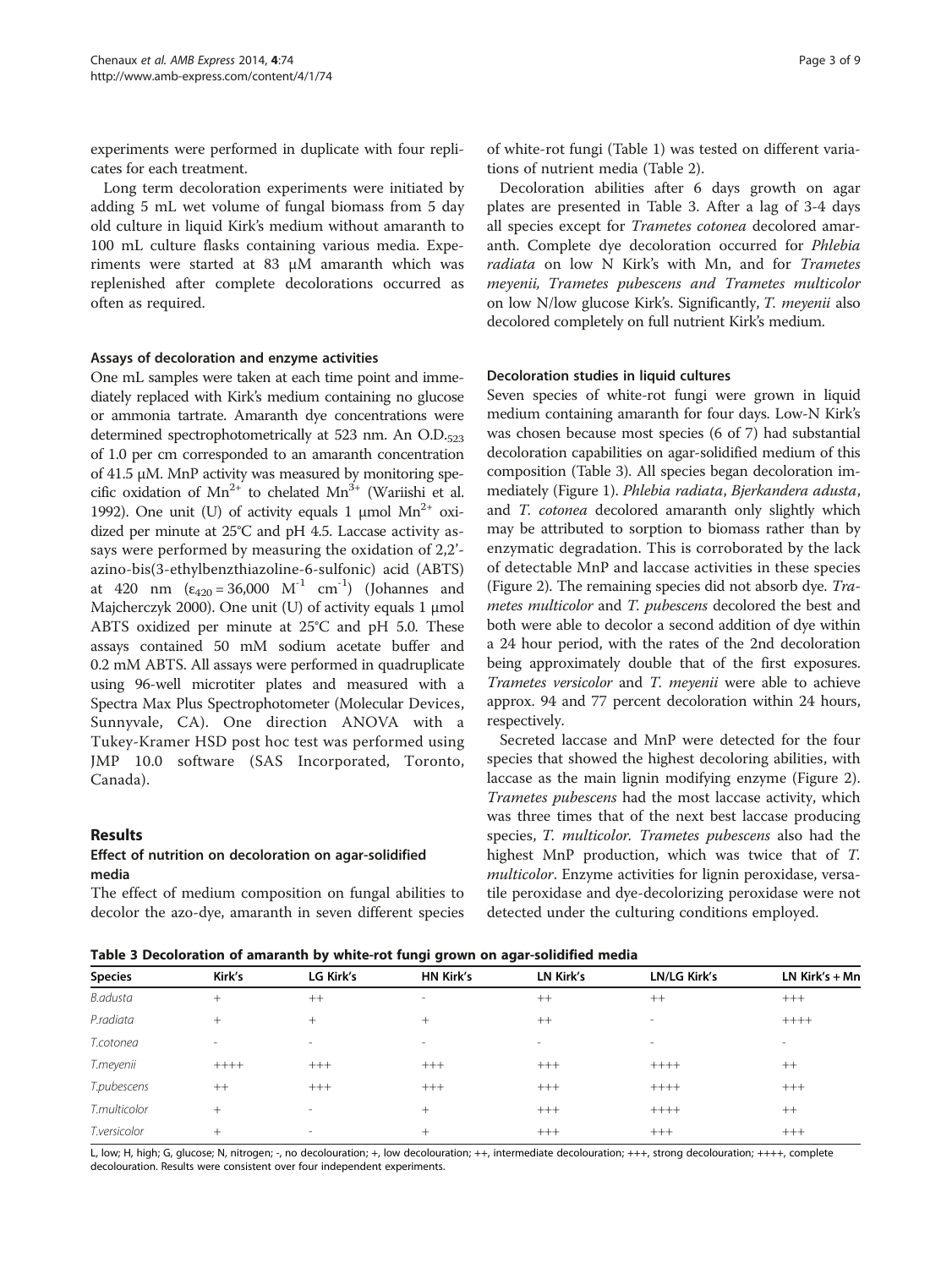<span id="page-2-0"></span>experiments were performed in duplicate with four replicates for each treatment.

Long term decoloration experiments were initiated by adding 5 mL wet volume of fungal biomass from 5 day old culture in liquid Kirk's medium without amaranth to 100 mL culture flasks containing various media. Experiments were started at 83 μM amaranth which was replenished after complete decolorations occurred as often as required.

#### Assays of decoloration and enzyme activities

One mL samples were taken at each time point and immediately replaced with Kirk's medium containing no glucose or ammonia tartrate. Amaranth dye concentrations were determined spectrophotometrically at 523 nm. An O.D.523 of 1.0 per cm corresponded to an amaranth concentration of 41.5 μM. MnP activity was measured by monitoring specific oxidation of  $Mn^{2+}$  to chelated  $Mn^{3+}$  (Wariishi et al. [1992\)](#page-8-0). One unit (U) of activity equals 1  $\mu$ mol Mn<sup>2+</sup> oxidized per minute at 25°C and pH 4.5. Laccase activity assays were performed by measuring the oxidation of 2,2' azino-bis(3-ethylbenzthiazoline-6-sulfonic) acid (ABTS) at 420 nm  $(\epsilon_{420} = 36,000 \text{ M}^{-1} \text{ cm}^{-1})$  (Johannes and Majcherczyk [2000](#page-7-0)). One unit (U) of activity equals 1 μmol ABTS oxidized per minute at 25°C and pH 5.0. These assays contained 50 mM sodium acetate buffer and 0.2 mM ABTS. All assays were performed in quadruplicate using 96-well microtiter plates and measured with a Spectra Max Plus Spectrophotometer (Molecular Devices, Sunnyvale, CA). One direction ANOVA with a Tukey-Kramer HSD post hoc test was performed using JMP 10.0 software (SAS Incorporated, Toronto, Canada).

### Results

# Effect of nutrition on decoloration on agar-solidified media

The effect of medium composition on fungal abilities to decolor the azo-dye, amaranth in seven different species

of white-rot fungi (Table [1](#page-1-0)) was tested on different variations of nutrient media (Table [2\)](#page-1-0).

Decoloration abilities after 6 days growth on agar plates are presented in Table 3. After a lag of 3-4 days all species except for Trametes cotonea decolored amaranth. Complete dye decoloration occurred for Phlebia radiata on low N Kirk's with Mn, and for Trametes meyenii, Trametes pubescens and Trametes multicolor on low N/low glucose Kirk's. Significantly, T. meyenii also decolored completely on full nutrient Kirk's medium.

# Decoloration studies in liquid cultures

Seven species of white-rot fungi were grown in liquid medium containing amaranth for four days. Low-N Kirk's was chosen because most species (6 of 7) had substantial decoloration capabilities on agar-solidified medium of this composition (Table 3). All species began decoloration immediately (Figure [1\)](#page-3-0). Phlebia radiata, Bjerkandera adusta, and T. cotonea decolored amaranth only slightly which may be attributed to sorption to biomass rather than by enzymatic degradation. This is corroborated by the lack of detectable MnP and laccase activities in these species (Figure [2\)](#page-3-0). The remaining species did not absorb dye. Trametes multicolor and T. pubescens decolored the best and both were able to decolor a second addition of dye within a 24 hour period, with the rates of the 2nd decoloration being approximately double that of the first exposures. Trametes versicolor and T. meyenii were able to achieve approx. 94 and 77 percent decoloration within 24 hours, respectively.

Secreted laccase and MnP were detected for the four species that showed the highest decoloring abilities, with laccase as the main lignin modifying enzyme (Figure [2](#page-3-0)). Trametes pubescens had the most laccase activity, which was three times that of the next best laccase producing species, T. multicolor. Trametes pubescens also had the highest MnP production, which was twice that of T. multicolor. Enzyme activities for lignin peroxidase, versatile peroxidase and dye-decolorizing peroxidase were not detected under the culturing conditions employed.

| Table 3 Decoloration of amaranth by white-rot fungi grown on agar-solidified media |  |
|------------------------------------------------------------------------------------|--|
|------------------------------------------------------------------------------------|--|

| <u>rawic y pecoloration of amaranth wy milite for langi gromir on agar bollanica meala</u> |        |                              |                          |                          |                          |                  |  |  |  |
|--------------------------------------------------------------------------------------------|--------|------------------------------|--------------------------|--------------------------|--------------------------|------------------|--|--|--|
| <b>Species</b>                                                                             | Kirk's | LG Kirk's                    | <b>HN Kirk's</b>         | LN Kirk's                | <b>LN/LG Kirk's</b>      | LN $Kirk's + Mn$ |  |  |  |
| B.adusta                                                                                   | $+$    | $++$                         | $\overline{\phantom{a}}$ | $++$                     | $++$                     | $+++$            |  |  |  |
| P.radiata                                                                                  | $+$    | $^{+}$                       | $^{+}$                   | $++$                     | $\overline{\phantom{a}}$ | $+++++$          |  |  |  |
| T.cotonea                                                                                  | $\sim$ | $\overline{\phantom{a}}$     | $\overline{\phantom{a}}$ | $\overline{\phantom{a}}$ | $\overline{\phantom{a}}$ | $\sim$           |  |  |  |
| T.meyenii                                                                                  | $++++$ | $+++$                        | $+++$                    | $+++$                    | $+++++$                  | $++$             |  |  |  |
| T.pubescens                                                                                | $++$   | $+++$                        | $+++$                    | $+++$                    | $++++$                   | $+++$            |  |  |  |
| T.multicolor                                                                               | $^{+}$ | $\qquad \qquad \blacksquare$ | $^{+}$                   | $+++$                    | $+++++$                  | $++$             |  |  |  |
| T.versicolor                                                                               | $^{+}$ | $\overline{\phantom{a}}$     | $^{+}$                   | $+++$                    | $+++$                    | $+++$            |  |  |  |

L, low; H, high; G, glucose; N, nitrogen; -, no decolouration; +, low decolouration; ++, intermediate decolouration; +++, strong decolouration; ++++, complete decolouration. Results were consistent over four independent experiments.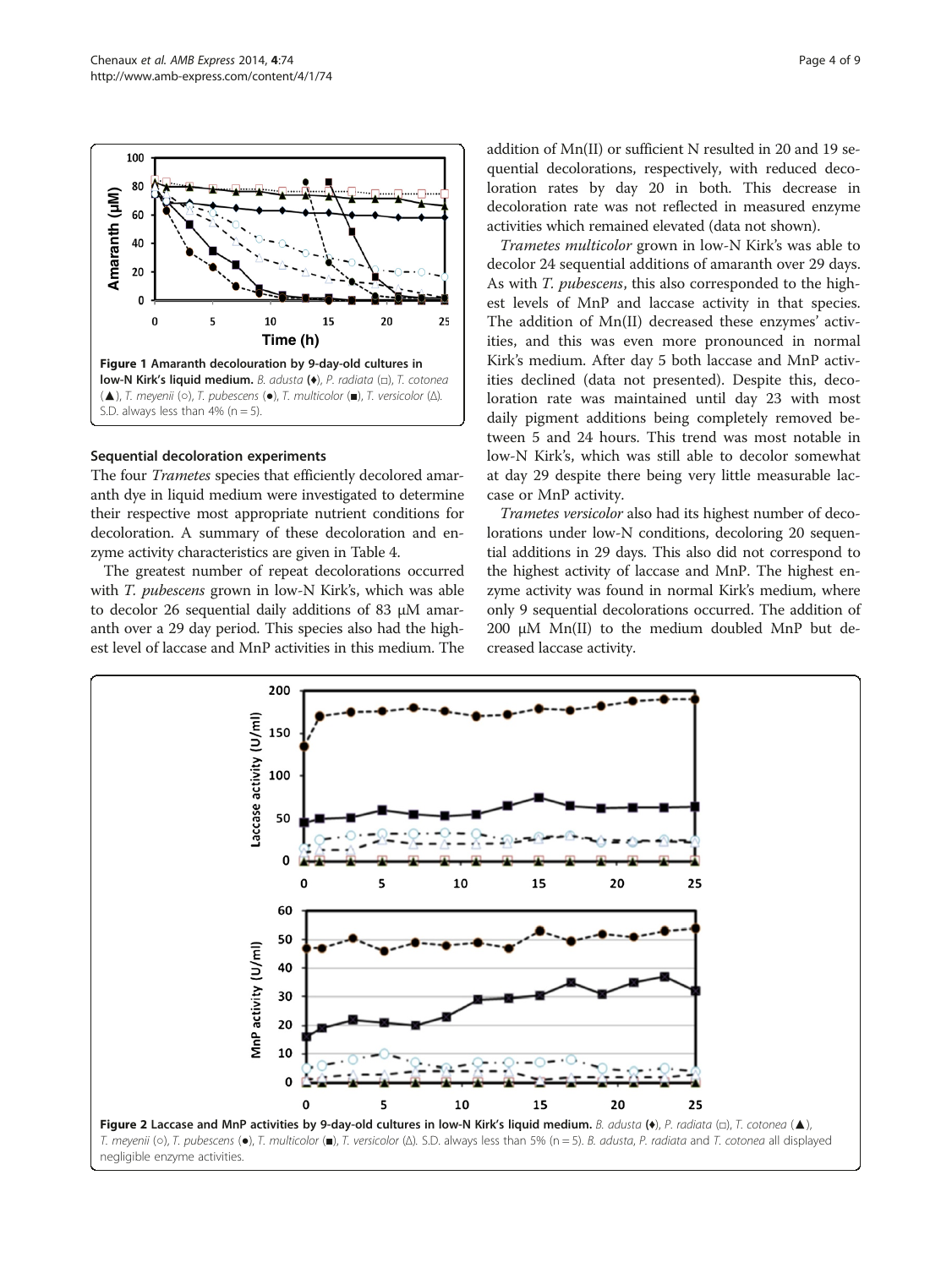

<span id="page-3-0"></span>

#### Sequential decoloration experiments

The four *Trametes* species that efficiently decolored amaranth dye in liquid medium were investigated to determine their respective most appropriate nutrient conditions for decoloration. A summary of these decoloration and enzyme activity characteristics are given in Table [4](#page-4-0).

The greatest number of repeat decolorations occurred with *T. pubescens* grown in low-N Kirk's, which was able to decolor 26 sequential daily additions of 83 μM amaranth over a 29 day period. This species also had the highest level of laccase and MnP activities in this medium. The

addition of Mn(II) or sufficient N resulted in 20 and 19 sequential decolorations, respectively, with reduced decoloration rates by day 20 in both. This decrease in decoloration rate was not reflected in measured enzyme activities which remained elevated (data not shown).

Trametes multicolor grown in low-N Kirk's was able to decolor 24 sequential additions of amaranth over 29 days. As with *T. pubescens*, this also corresponded to the highest levels of MnP and laccase activity in that species. The addition of Mn(II) decreased these enzymes' activities, and this was even more pronounced in normal Kirk's medium. After day 5 both laccase and MnP activities declined (data not presented). Despite this, decoloration rate was maintained until day 23 with most daily pigment additions being completely removed between 5 and 24 hours. This trend was most notable in low-N Kirk's, which was still able to decolor somewhat at day 29 despite there being very little measurable laccase or MnP activity.

Trametes versicolor also had its highest number of decolorations under low-N conditions, decoloring 20 sequential additions in 29 days. This also did not correspond to the highest activity of laccase and MnP. The highest enzyme activity was found in normal Kirk's medium, where only 9 sequential decolorations occurred. The addition of 200 μM Mn(II) to the medium doubled MnP but decreased laccase activity.

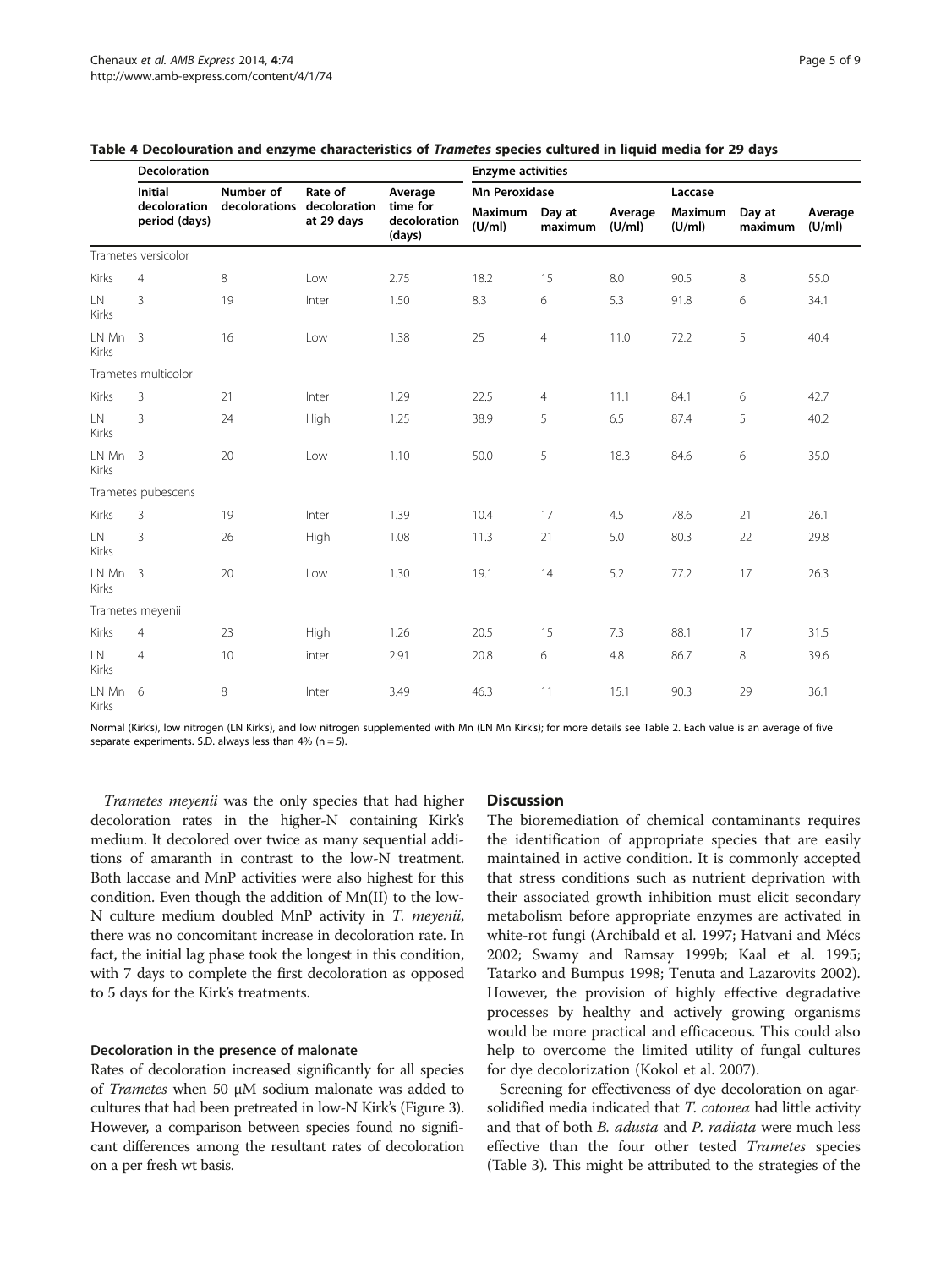|                     | <b>Decoloration</b>                               | <b>Enzyme activities</b> |                            |                                    |                   |                      |                   |                          |                   |                   |  |
|---------------------|---------------------------------------------------|--------------------------|----------------------------|------------------------------------|-------------------|----------------------|-------------------|--------------------------|-------------------|-------------------|--|
|                     | <b>Initial</b><br>Number of<br>Rate of<br>Average |                          |                            |                                    |                   | <b>Mn Peroxidase</b> |                   |                          | Laccase           |                   |  |
|                     | decoloration<br>period (days)                     | decolorations            | decoloration<br>at 29 days | time for<br>decoloration<br>(days) | Maximum<br>(U/ml) | Day at<br>maximum    | Average<br>(U/ml) | <b>Maximum</b><br>(U/ml) | Day at<br>maximum | Average<br>(U/ml) |  |
|                     | Trametes versicolor                               |                          |                            |                                    |                   |                      |                   |                          |                   |                   |  |
| Kirks               | $\overline{4}$                                    | 8                        | Low                        | 2.75                               | 18.2              | 15                   | 8.0               | 90.5                     | $\,8\,$           | 55.0              |  |
| LN.<br><b>Kirks</b> | 3                                                 | 19                       | Inter                      | 1.50                               | 8.3               | 6                    | 5.3               | 91.8                     | 6                 | 34.1              |  |
| LN Mn<br>Kirks      | $\overline{\mathbf{3}}$                           | 16                       | Low                        | 1.38                               | 25                | $\overline{4}$       | 11.0              | 72.2                     | 5                 | 40.4              |  |
|                     | Trametes multicolor                               |                          |                            |                                    |                   |                      |                   |                          |                   |                   |  |
| Kirks               | 3                                                 | 21                       | Inter                      | 1.29                               | 22.5              | $\overline{4}$       | 11.1              | 84.1                     | 6                 | 42.7              |  |
| LN.<br><b>Kirks</b> | 3                                                 | 24                       | High                       | 1.25                               | 38.9              | 5                    | 6.5               | 87.4                     | 5                 | 40.2              |  |
| LN Mn 3<br>Kirks    |                                                   | 20                       | Low                        | 1.10                               | 50.0              | 5                    | 18.3              | 84.6                     | 6                 | 35.0              |  |
|                     | Trametes pubescens                                |                          |                            |                                    |                   |                      |                   |                          |                   |                   |  |
| <b>Kirks</b>        | 3                                                 | 19                       | Inter                      | 1.39                               | 10.4              | 17                   | 4.5               | 78.6                     | 21                | 26.1              |  |
| LN<br><b>Kirks</b>  | 3                                                 | 26                       | High                       | 1.08                               | 11.3              | 21                   | 5.0               | 80.3                     | 22                | 29.8              |  |
| LN Mn 3<br>Kirks    |                                                   | 20                       | Low                        | 1.30                               | 19.1              | 14                   | 5.2               | 77.2                     | 17                | 26.3              |  |
|                     | Trametes meyenii                                  |                          |                            |                                    |                   |                      |                   |                          |                   |                   |  |
| Kirks               | $\overline{4}$                                    | 23                       | High                       | 1.26                               | 20.5              | 15                   | 7.3               | 88.1                     | 17                | 31.5              |  |
| LN<br><b>Kirks</b>  | $\overline{4}$                                    | 10                       | inter                      | 2.91                               | 20.8              | 6                    | 4.8               | 86.7                     | $\,8\,$           | 39.6              |  |
| LN Mn 6<br>Kirks    |                                                   | 8                        | Inter                      | 3.49                               | 46.3              | 11                   | 15.1              | 90.3                     | 29                | 36.1              |  |

#### <span id="page-4-0"></span>Table 4 Decolouration and enzyme characteristics of Trametes species cultured in liquid media for 29 days

Normal (Kirk's), low nitrogen (LN Kirk's), and low nitrogen supplemented with Mn (LN Mn Kirk's); for more details see Table [2](#page-1-0). Each value is an average of five separate experiments. S.D. always less than  $4\%$  (n = 5).

Trametes meyenii was the only species that had higher decoloration rates in the higher-N containing Kirk's medium. It decolored over twice as many sequential additions of amaranth in contrast to the low-N treatment. Both laccase and MnP activities were also highest for this condition. Even though the addition of Mn(II) to the low-N culture medium doubled MnP activity in T. meyenii, there was no concomitant increase in decoloration rate. In fact, the initial lag phase took the longest in this condition, with 7 days to complete the first decoloration as opposed to 5 days for the Kirk's treatments.

#### Decoloration in the presence of malonate

Rates of decoloration increased significantly for all species of *Trametes* when 50  $\mu$ M sodium malonate was added to cultures that had been pretreated in low-N Kirk's (Figure [3](#page-5-0)). However, a comparison between species found no significant differences among the resultant rates of decoloration on a per fresh wt basis.

#### **Discussion**

The bioremediation of chemical contaminants requires the identification of appropriate species that are easily maintained in active condition. It is commonly accepted that stress conditions such as nutrient deprivation with their associated growth inhibition must elicit secondary metabolism before appropriate enzymes are activated in white-rot fungi (Archibald et al. [1997](#page-7-0); Hatvani and Mécs [2002](#page-7-0); Swamy and Ramsay [1999b](#page-8-0); Kaal et al. [1995](#page-7-0); Tatarko and Bumpus [1998](#page-8-0); Tenuta and Lazarovits [2002](#page-8-0)). However, the provision of highly effective degradative processes by healthy and actively growing organisms would be more practical and efficaceous. This could also help to overcome the limited utility of fungal cultures for dye decolorization (Kokol et al. [2007\)](#page-7-0).

Screening for effectiveness of dye decoloration on agarsolidified media indicated that T. cotonea had little activity and that of both *B. adusta* and *P. radiata* were much less effective than the four other tested Trametes species (Table [3](#page-2-0)). This might be attributed to the strategies of the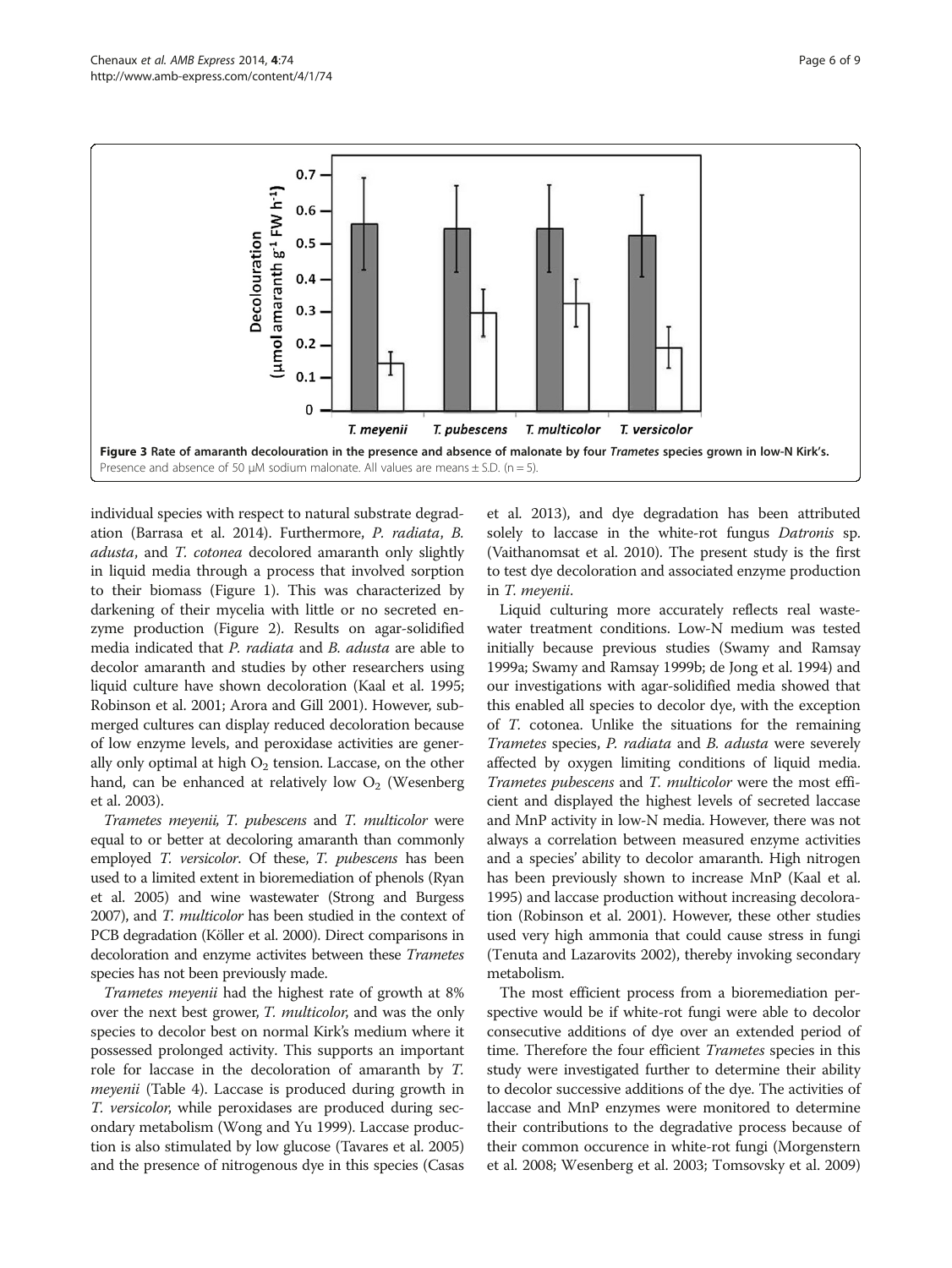<span id="page-5-0"></span>

individual species with respect to natural substrate degradation (Barrasa et al. [2014\)](#page-7-0). Furthermore, P. radiata, B. adusta, and T. cotonea decolored amaranth only slightly in liquid media through a process that involved sorption to their biomass (Figure [1\)](#page-3-0). This was characterized by darkening of their mycelia with little or no secreted enzyme production (Figure [2\)](#page-3-0). Results on agar-solidified media indicated that P. radiata and B. adusta are able to decolor amaranth and studies by other researchers using liquid culture have shown decoloration (Kaal et al. [1995](#page-7-0); Robinson et al. [2001;](#page-7-0) Arora and Gill [2001\)](#page-7-0). However, submerged cultures can display reduced decoloration because of low enzyme levels, and peroxidase activities are generally only optimal at high  $O_2$  tension. Laccase, on the other hand, can be enhanced at relatively low  $O_2$  (Wesenberg et al. [2003](#page-8-0)).

Trametes meyenii, T. pubescens and T. multicolor were equal to or better at decoloring amaranth than commonly employed T. versicolor. Of these, T. pubescens has been used to a limited extent in bioremediation of phenols (Ryan et al. [2005\)](#page-7-0) and wine wastewater (Strong and Burgess [2007\)](#page-8-0), and T. multicolor has been studied in the context of PCB degradation (Köller et al. [2000\)](#page-7-0). Direct comparisons in decoloration and enzyme activites between these Trametes species has not been previously made.

Trametes meyenii had the highest rate of growth at 8% over the next best grower, *T. multicolor*, and was the only species to decolor best on normal Kirk's medium where it possessed prolonged activity. This supports an important role for laccase in the decoloration of amaranth by T. *meyenii* (Table [4\)](#page-4-0). Laccase is produced during growth in T. versicolor, while peroxidases are produced during secondary metabolism (Wong and Yu [1999](#page-8-0)). Laccase production is also stimulated by low glucose (Tavares et al. [2005](#page-8-0)) and the presence of nitrogenous dye in this species (Casas

et al. [2013\)](#page-7-0), and dye degradation has been attributed solely to laccase in the white-rot fungus *Datronis* sp. (Vaithanomsat et al. [2010\)](#page-8-0). The present study is the first to test dye decoloration and associated enzyme production in T. meyenii.

Liquid culturing more accurately reflects real wastewater treatment conditions. Low-N medium was tested initially because previous studies (Swamy and Ramsay [1999a](#page-8-0); Swamy and Ramsay [1999b](#page-8-0); de Jong et al. [1994\)](#page-7-0) and our investigations with agar-solidified media showed that this enabled all species to decolor dye, with the exception of T. cotonea. Unlike the situations for the remaining Trametes species, P. radiata and B. adusta were severely affected by oxygen limiting conditions of liquid media. Trametes pubescens and T. multicolor were the most efficient and displayed the highest levels of secreted laccase and MnP activity in low-N media. However, there was not always a correlation between measured enzyme activities and a species' ability to decolor amaranth. High nitrogen has been previously shown to increase MnP (Kaal et al. [1995](#page-7-0)) and laccase production without increasing decoloration (Robinson et al. [2001\)](#page-7-0). However, these other studies used very high ammonia that could cause stress in fungi (Tenuta and Lazarovits [2002](#page-8-0)), thereby invoking secondary metabolism.

The most efficient process from a bioremediation perspective would be if white-rot fungi were able to decolor consecutive additions of dye over an extended period of time. Therefore the four efficient *Trametes* species in this study were investigated further to determine their ability to decolor successive additions of the dye. The activities of laccase and MnP enzymes were monitored to determine their contributions to the degradative process because of their common occurence in white-rot fungi (Morgenstern et al. [2008](#page-7-0); Wesenberg et al. [2003;](#page-8-0) Tomsovsky et al. [2009](#page-8-0))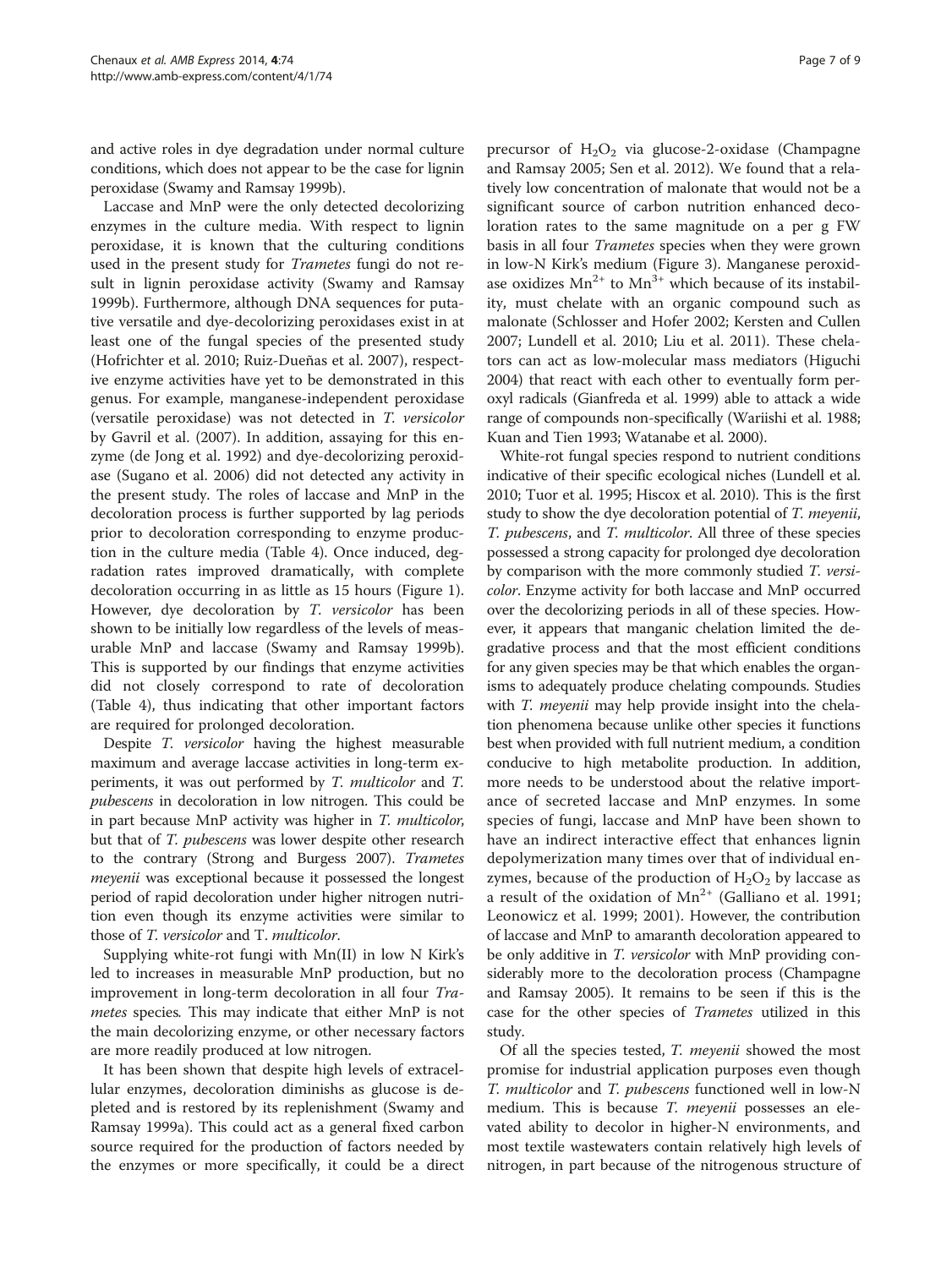and active roles in dye degradation under normal culture conditions, which does not appear to be the case for lignin peroxidase (Swamy and Ramsay [1999b](#page-8-0)).

Laccase and MnP were the only detected decolorizing enzymes in the culture media. With respect to lignin peroxidase, it is known that the culturing conditions used in the present study for *Trametes* fungi do not result in lignin peroxidase activity (Swamy and Ramsay [1999b](#page-8-0)). Furthermore, although DNA sequences for putative versatile and dye-decolorizing peroxidases exist in at least one of the fungal species of the presented study (Hofrichter et al. [2010;](#page-7-0) Ruiz-Dueñas et al. [2007\)](#page-7-0), respective enzyme activities have yet to be demonstrated in this genus. For example, manganese-independent peroxidase (versatile peroxidase) was not detected in T. versicolor by Gavril et al. ([2007](#page-7-0)). In addition, assaying for this enzyme (de Jong et al. [1992\)](#page-7-0) and dye-decolorizing peroxidase (Sugano et al. [2006](#page-8-0)) did not detected any activity in the present study. The roles of laccase and MnP in the decoloration process is further supported by lag periods prior to decoloration corresponding to enzyme production in the culture media (Table [4\)](#page-4-0). Once induced, degradation rates improved dramatically, with complete decoloration occurring in as little as 15 hours (Figure [1](#page-3-0)). However, dye decoloration by T. versicolor has been shown to be initially low regardless of the levels of measurable MnP and laccase (Swamy and Ramsay [1999b](#page-8-0)). This is supported by our findings that enzyme activities did not closely correspond to rate of decoloration (Table [4\)](#page-4-0), thus indicating that other important factors are required for prolonged decoloration.

Despite T. versicolor having the highest measurable maximum and average laccase activities in long-term experiments, it was out performed by T. multicolor and T. pubescens in decoloration in low nitrogen. This could be in part because MnP activity was higher in T. multicolor, but that of *T. pubescens* was lower despite other research to the contrary (Strong and Burgess [2007](#page-8-0)). Trametes meyenii was exceptional because it possessed the longest period of rapid decoloration under higher nitrogen nutrition even though its enzyme activities were similar to those of T. versicolor and T. multicolor.

Supplying white-rot fungi with Mn(II) in low N Kirk's led to increases in measurable MnP production, but no improvement in long-term decoloration in all four Trametes species. This may indicate that either MnP is not the main decolorizing enzyme, or other necessary factors are more readily produced at low nitrogen.

It has been shown that despite high levels of extracellular enzymes, decoloration diminishs as glucose is depleted and is restored by its replenishment (Swamy and Ramsay [1999a](#page-8-0)). This could act as a general fixed carbon source required for the production of factors needed by the enzymes or more specifically, it could be a direct

precursor of  $H_2O_2$  via glucose-2-oxidase (Champagne and Ramsay [2005](#page-7-0); Sen et al. [2012](#page-8-0)). We found that a relatively low concentration of malonate that would not be a significant source of carbon nutrition enhanced decoloration rates to the same magnitude on a per g FW basis in all four Trametes species when they were grown in low-N Kirk's medium (Figure [3\)](#page-5-0). Manganese peroxidase oxidizes  $Mn^{2+}$  to  $Mn^{3+}$  which because of its instability, must chelate with an organic compound such as malonate (Schlosser and Hofer [2002](#page-8-0); Kersten and Cullen [2007](#page-7-0); Lundell et al. [2010](#page-7-0); Liu et al. [2011](#page-7-0)). These chelators can act as low-molecular mass mediators (Higuchi [2004](#page-7-0)) that react with each other to eventually form peroxyl radicals (Gianfreda et al. [1999\)](#page-7-0) able to attack a wide range of compounds non-specifically (Wariishi et al. [1988](#page-8-0); Kuan and Tien [1993](#page-7-0); Watanabe et al. [2000\)](#page-8-0).

White-rot fungal species respond to nutrient conditions indicative of their specific ecological niches (Lundell et al. [2010](#page-7-0); Tuor et al. [1995](#page-8-0); Hiscox et al. [2010\)](#page-7-0). This is the first study to show the dye decoloration potential of T. *meyenii*, T. pubescens, and T. multicolor. All three of these species possessed a strong capacity for prolonged dye decoloration by comparison with the more commonly studied T. versicolor. Enzyme activity for both laccase and MnP occurred over the decolorizing periods in all of these species. However, it appears that manganic chelation limited the degradative process and that the most efficient conditions for any given species may be that which enables the organisms to adequately produce chelating compounds. Studies with *T. meyenii* may help provide insight into the chelation phenomena because unlike other species it functions best when provided with full nutrient medium, a condition conducive to high metabolite production. In addition, more needs to be understood about the relative importance of secreted laccase and MnP enzymes. In some species of fungi, laccase and MnP have been shown to have an indirect interactive effect that enhances lignin depolymerization many times over that of individual enzymes, because of the production of  $H_2O_2$  by laccase as a result of the oxidation of  $Mn^{2+}$  (Galliano et al. [1991](#page-7-0); Leonowicz et al. [1999; 2001\)](#page-7-0). However, the contribution of laccase and MnP to amaranth decoloration appeared to be only additive in *T. versicolor* with MnP providing considerably more to the decoloration process (Champagne and Ramsay [2005\)](#page-7-0). It remains to be seen if this is the case for the other species of Trametes utilized in this study.

Of all the species tested, T. meyenii showed the most promise for industrial application purposes even though T. multicolor and T. pubescens functioned well in low-N medium. This is because *T. meyenii* possesses an elevated ability to decolor in higher-N environments, and most textile wastewaters contain relatively high levels of nitrogen, in part because of the nitrogenous structure of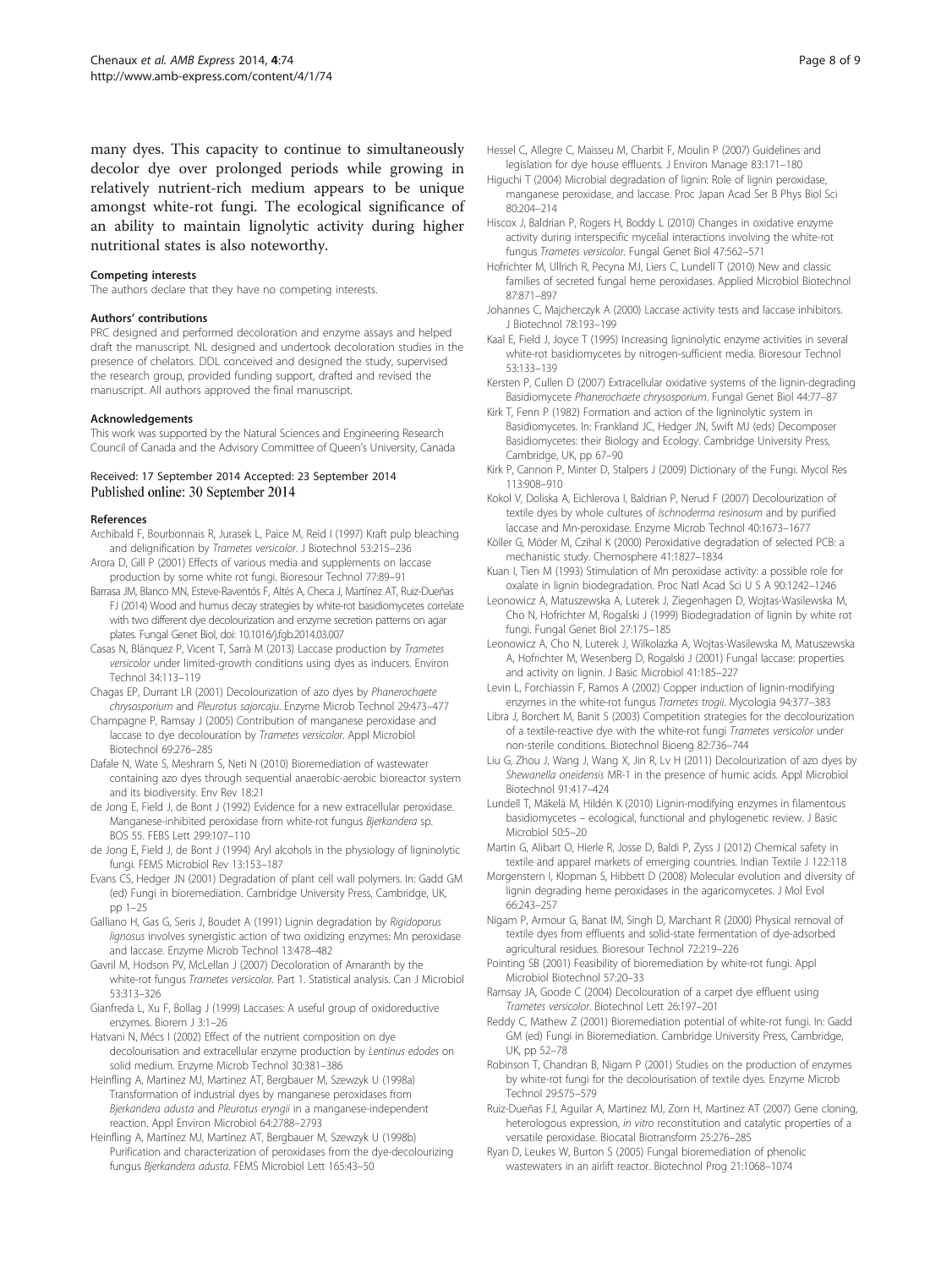<span id="page-7-0"></span>many dyes. This capacity to continue to simultaneously decolor dye over prolonged periods while growing in relatively nutrient-rich medium appears to be unique amongst white-rot fungi. The ecological significance of an ability to maintain lignolytic activity during higher nutritional states is also noteworthy.

#### Competing interests

The authors declare that they have no competing interests.

#### Authors' contributions

PRC designed and performed decoloration and enzyme assays and helped draft the manuscript. NL designed and undertook decoloration studies in the presence of chelators. DDL conceived and designed the study, supervised the research group, provided funding support, drafted and revised the manuscript. All authors approved the final manuscript.

#### Acknowledgements

This work was supported by the Natural Sciences and Engineering Research Council of Canada and the Advisory Committee of Queen's University, Canada

#### Received: 17 September 2014 Accepted: 23 September 2014 Published online: 30 September 2014

#### References

- Archibald F, Bourbonnais R, Jurasek L, Paice M, Reid I (1997) Kraft pulp bleaching and delignification by Trametes versicolor. J Biotechnol 53:215–236
- Arora D, Gill P (2001) Effects of various media and supplements on laccase production by some white rot fungi. Bioresour Technol 77:89–91
- Barrasa JM, Blanco MN, Esteve-Raventós F, Altés A, Checa J, Martínez AT, Ruiz-Dueñas FJ (2014) Wood and humus decay strategies by white-rot basidiomycetes correlate with two different dye decolourization and enzyme secretion patterns on agar plates. Fungal Genet Biol, doi: 10.1016/j.fgb.2014.03.007
- Casas N, Blánquez P, Vicent T, Sarrà M (2013) Laccase production by Trametes versicolor under limited-growth conditions using dyes as inducers. Environ Technol 34:113–119
- Chagas EP, Durrant LR (2001) Decolourization of azo dyes by Phanerochaete chrysosporium and Pleurotus sajorcaju. Enzyme Microb Technol 29:473–477
- Champagne P, Ramsay J (2005) Contribution of manganese peroxidase and laccase to dye decolouration by Trametes versicolor. Appl Microbiol Biotechnol 69:276–285
- Dafale N, Wate S, Meshram S, Neti N (2010) Bioremediation of wastewater containing azo dyes through sequential anaerobic-aerobic bioreactor system and its biodiversity. Env Rev 18:21
- de Jong E, Field J, de Bont J (1992) Evidence for a new extracellular peroxidase. Manganese-inhibited peroxidase from white-rot fungus Bjerkandera sp. BOS 55. FEBS Lett 299:107–110
- de Jong E, Field J, de Bont J (1994) Aryl alcohols in the physiology of ligninolytic fungi. FEMS Microbiol Rev 13:153–187
- Evans CS, Hedger JN (2001) Degradation of plant cell wall polymers. In: Gadd GM (ed) Fungi in bioremediation. Cambridge University Press, Cambridge, UK, pp 1–25
- Galliano H, Gas G, Seris J, Boudet A (1991) Lignin degradation by Rigidoporus lignosus involves synergistic action of two oxidizing enzymes: Mn peroxidase and laccase. Enzyme Microb Technol 13:478–482
- Gavril M, Hodson PV, McLellan J (2007) Decoloration of Amaranth by the white-rot fungus Trametes versicolor. Part 1. Statistical analysis. Can J Microbiol 53:313–326
- Gianfreda L, Xu F, Bollag J (1999) Laccases: A useful group of oxidoreductive enzymes. Biorem J 3:1–26
- Hatvani N, Mécs I (2002) Effect of the nutrient composition on dye decolourisation and extracellular enzyme production by Lentinus edodes on solid medium. Enzyme Microb Technol 30:381–386
- Heinfling A, Martinez MJ, Martinez AT, Bergbauer M, Szewzyk U (1998a) Transformation of industrial dyes by manganese peroxidases from Bjerkandera adusta and Pleurotus eryngii in a manganese-independent reaction. Appl Environ Microbiol 64:2788–2793
- Heinfling A, Martínez MJ, Martínez AT, Bergbauer M, Szewzyk U (1998b) Purification and characterization of peroxidases from the dye-decolourizing fungus Bjerkandera adusta. FEMS Microbiol Lett 165:43–50
- Hessel C, Allegre C, Maisseu M, Charbit F, Moulin P (2007) Guidelines and legislation for dye house effluents. J Environ Manage 83:171–180
- Higuchi T (2004) Microbial degradation of lignin: Role of lignin peroxidase, manganese peroxidase, and laccase. Proc Japan Acad Ser B Phys Biol Sci 80:204–214
- Hiscox J, Baldrian P, Rogers H, Boddy L (2010) Changes in oxidative enzyme activity during interspecific mycelial interactions involving the white-rot fungus Trametes versicolor. Fungal Genet Biol 47:562–571
- Hofrichter M, Ullrich R, Pecyna MJ, Liers C, Lundell T (2010) New and classic families of secreted fungal heme peroxidases. Applied Microbiol Biotechnol 87:871–897
- Johannes C, Majcherczyk A (2000) Laccase activity tests and laccase inhibitors. J Biotechnol 78:193–199
- Kaal E, Field J, Joyce T (1995) Increasing ligninolytic enzyme activities in several white-rot basidiomycetes by nitrogen-sufficient media. Bioresour Technol 53:133–139
- Kersten P, Cullen D (2007) Extracellular oxidative systems of the lignin-degrading Basidiomycete Phanerochaete chrysosporium. Fungal Genet Biol 44:77–87
- Kirk T, Fenn P (1982) Formation and action of the ligninolytic system in Basidiomycetes. In: Frankland JC, Hedger JN, Swift MJ (eds) Decomposer Basidiomycetes: their Biology and Ecology. Cambridge University Press, Cambridge, UK, pp 67–90
- Kirk P, Cannon P, Minter D, Stalpers J (2009) Dictionary of the Fungi. Mycol Res 113:908–910
- Kokol V, Doliska A, Eichlerova I, Baldrian P, Nerud F (2007) Decolourization of textile dyes by whole cultures of Ischnoderma resinosum and by purified laccase and Mn-peroxidase. Enzyme Microb Technol 40:1673–1677
- Köller G, Möder M, Czihal K (2000) Peroxidative degradation of selected PCB: a mechanistic study. Chemosphere 41:1827–1834
- Kuan I, Tien M (1993) Stimulation of Mn peroxidase activity: a possible role for oxalate in lignin biodegradation. Proc Natl Acad Sci U S A 90:1242–1246
- Leonowicz A, Matuszewska A, Luterek J, Ziegenhagen D, Wojtas-Wasilewska M, Cho N, Hofrichter M, Rogalski J (1999) Biodegradation of lignin by white rot fungi. Fungal Genet Biol 27:175–185
- Leonowicz A, Cho N, Luterek J, Wilkolazka A, Wojtas-Wasilewska M, Matuszewska A, Hofrichter M, Wesenberg D, Rogalski J (2001) Fungal laccase: properties and activity on lignin. J Basic Microbiol 41:185–227
- Levin L, Forchiassin F, Ramos A (2002) Copper induction of lignin-modifying enzymes in the white-rot fungus Trametes trogii. Mycologia 94:377–383
- Libra J, Borchert M, Banit S (2003) Competition strategies for the decolourization of a textile-reactive dye with the white-rot fungi Trametes versicolor under non-sterile conditions. Biotechnol Bioeng 82:736–744
- Liu G, Zhou J, Wang J, Wang X, Jin R, Lv H (2011) Decolourization of azo dyes by Shewanella oneidensis MR-1 in the presence of humic acids. Appl Microbiol Biotechnol 91:417–424
- Lundell T, Mäkelä M, Hildén K (2010) Lignin-modifying enzymes in filamentous basidiomycetes – ecological, functional and phylogenetic review. J Basic Microbiol 50:5–20
- Martin G, Alibart O, Hierle R, Josse D, Baldi P, Zyss J (2012) Chemical safety in textile and apparel markets of emerging countries. Indian Textile J 122:118
- Morgenstern I, Klopman S, Hibbett D (2008) Molecular evolution and diversity of lignin degrading heme peroxidases in the agaricomycetes. J Mol Evol 66:243–257
- Nigam P, Armour G, Banat IM, Singh D, Marchant R (2000) Physical removal of textile dyes from effluents and solid-state fermentation of dye-adsorbed agricultural residues. Bioresour Technol 72:219–226
- Pointing SB (2001) Feasibility of bioremediation by white-rot fungi. Appl Microbiol Biotechnol 57:20–33
- Ramsay JA, Goode C (2004) Decolouration of a carpet dye effluent using Trametes versicolor. Biotechnol Lett 26:197–201
- Reddy C, Mathew Z (2001) Bioremediation potential of white-rot fungi. In: Gadd GM (ed) Fungi in Bioremediation. Cambridge University Press, Cambridge, UK, pp 52–78
- Robinson T, Chandran B, Nigam P (2001) Studies on the production of enzymes by white-rot fungi for the decolourisation of textile dyes. Enzyme Microb Technol 29:575–579
- Ruiz-Dueñas FJ, Aguilar A, Martinez MJ, Zorn H, Martinez AT (2007) Gene cloning, heterologous expression, in vitro reconstitution and catalytic properties of a versatile peroxidase. Biocatal Biotransform 25:276–285
- Ryan D, Leukes W, Burton S (2005) Fungal bioremediation of phenolic wastewaters in an airlift reactor. Biotechnol Prog 21:1068–1074